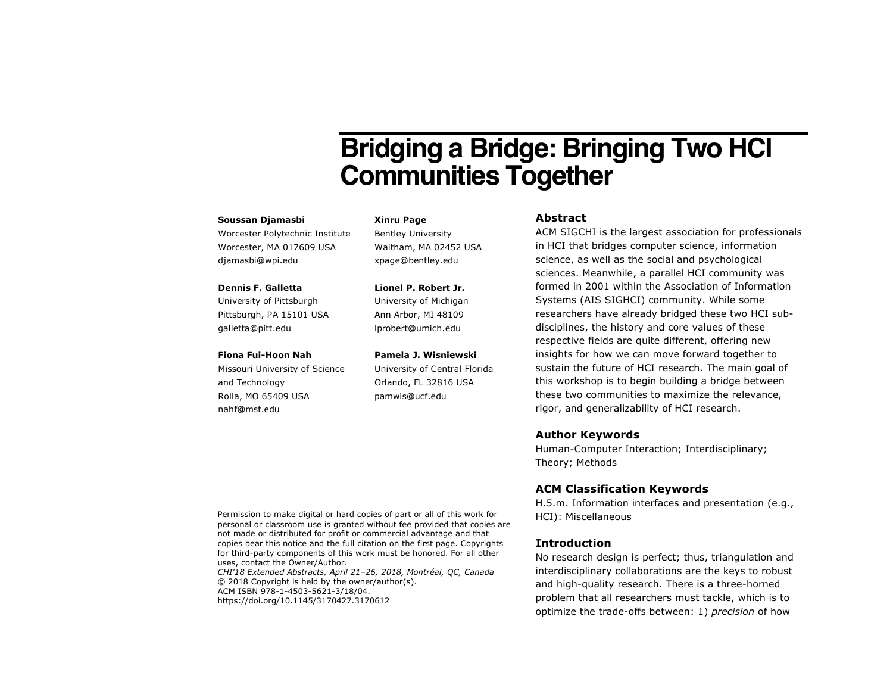# **Bridging a Bridge: Bringing Two HCI Communities Together**

#### **Soussan Djamasbi**

Worcester Polytechnic Institute Worcester, MA 017609 USA djamasbi@wpi.edu

#### **Dennis F. Galletta**

University of Pittsburgh Pittsburgh, PA 15101 USA galletta@pitt.edu

#### **Fiona Fui-Hoon Nah**

Missouri University of Science and Technology Rolla, MO 65409 USA nahf@mst.edu

**Xinru Page**

Bentley University Waltham, MA 02452 USA xpage@bentley.edu

**Lionel P. Robert Jr.** University of Michigan Ann Arbor, MI 48109 lprobert@umich.edu

# **Pamela J. Wisniewski**

University of Central Florida Orlando, FL 32816 USA pamwis@ucf.edu

#### **Abstract**

ACM SIGCHI is the largest association for professionals in HCI that bridges computer science, information science, as well as the social and psychological sciences. Meanwhile, a parallel HCI community was formed in 2001 within the Association of Information Systems (AIS SIGHCI) community. While some researchers have already bridged these two HCI subdisciplines, the history and core values of these respective fields are quite different, offering new insights for how we can move forward together to sustain the future of HCI research. The main goal of this workshop is to begin building a bridge between these two communities to maximize the relevance, rigor, and generalizability of HCI research.

### **Author Keywords**

Human-Computer Interaction; Interdisciplinary; Theory; Methods

## **ACM Classification Keywords**

H.5.m. Information interfaces and presentation (e.g., HCI): Miscellaneous

#### **Introduction**

No research design is perfect; thus, triangulation and interdisciplinary collaborations are the keys to robust and high-quality research. There is a three-horned problem that all researchers must tackle, which is to optimize the trade-offs between: 1) *precision* of how

Permission to make digital or hard copies of part or all of this work for personal or classroom use is granted without fee provided that copies are not made or distributed for profit or commercial advantage and that copies bear this notice and the full citation on the first page. Copyrights for third-party components of this work must be honored. For all other uses, contact the Owner/Author.

*CHI'18 Extended Abstracts, April 21–26, 2018, Montréal, QC, Canada* © 2018 Copyright is held by the owner/author(s). ACM ISBN 978-1-4503-5621-3/18/04. https://doi.org/10.1145/3170427.3170612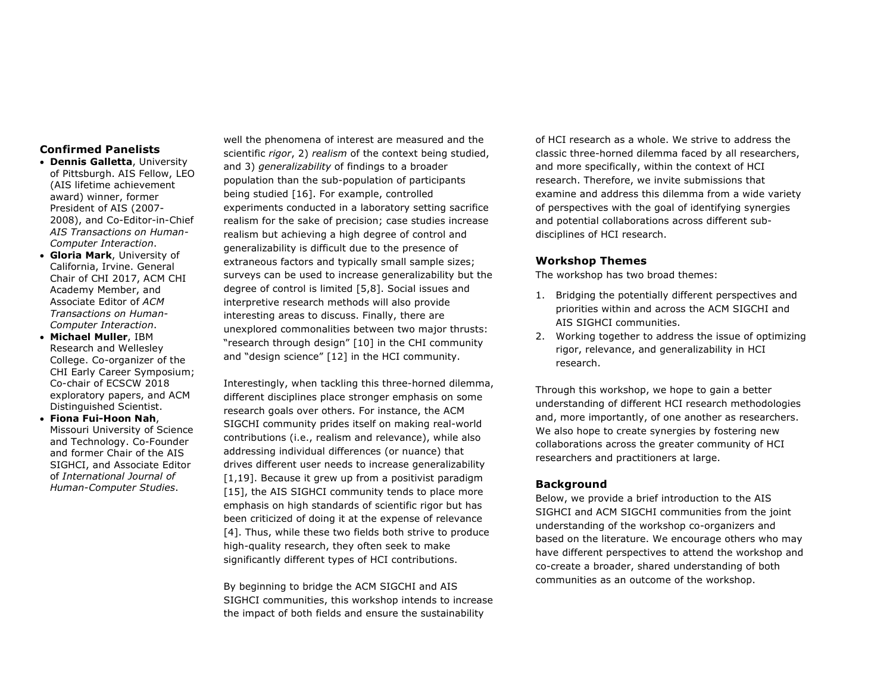# **Confirmed Panelists**

- **Dennis Galletta**, University of Pittsburgh. AIS Fellow, LEO (AIS lifetime achievement award) winner, former President of AIS (2007- 2008), and Co-Editor-in-Chief *AIS Transactions on Human-Computer Interaction*.
- **Gloria Mark**, University of California, Irvine. General Chair of CHI 2017, ACM CHI Academy Member, and Associate Editor of *ACM Transactions on Human-Computer Interaction*.
- **Michael Muller**, IBM Research and Wellesley College. Co-organizer of the CHI Early Career Symposium; Co-chair of ECSCW 2018 exploratory papers, and ACM Distinguished Scientist.
- **Fiona Fui-Hoon Nah**, Missouri University of Science and Technology. Co-Founder and former Chair of the AIS SIGHCI, and Associate Editor of *International Journal of Human-Computer Studies*.

well the phenomena of interest are measured and the scientific *rigor*, 2) *realism* of the context being studied, and 3) *generalizability* of findings to a broader population than the sub-population of participants being studied [16]. For example, controlled experiments conducted in a laboratory setting sacrifice realism for the sake of precision; case studies increase realism but achieving a high degree of control and generalizability is difficult due to the presence of extraneous factors and typically small sample sizes; surveys can be used to increase generalizability but the degree of control is limited [5,8]. Social issues and interpretive research methods will also provide interesting areas to discuss. Finally, there are unexplored commonalities between two major thrusts: "research through design" [10] in the CHI community and "design science" [12] in the HCI community.

Interestingly, when tackling this three-horned dilemma, different disciplines place stronger emphasis on some research goals over others. For instance, the ACM SIGCHI community prides itself on making real-world contributions (i.e., realism and relevance), while also addressing individual differences (or nuance) that drives different user needs to increase generalizability [1,19]. Because it grew up from a positivist paradigm [15], the AIS SIGHCI community tends to place more emphasis on high standards of scientific rigor but has been criticized of doing it at the expense of relevance [4]. Thus, while these two fields both strive to produce high-quality research, they often seek to make significantly different types of HCI contributions.

By beginning to bridge the ACM SIGCHI and AIS SIGHCI communities, this workshop intends to increase the impact of both fields and ensure the sustainability

of HCI research as a whole. We strive to address the classic three-horned dilemma faced by all researchers, and more specifically, within the context of HCI research. Therefore, we invite submissions that examine and address this dilemma from a wide variety of perspectives with the goal of identifying synergies and potential collaborations across different subdisciplines of HCI research.

#### **Workshop Themes**

The workshop has two broad themes:

- 1. Bridging the potentially different perspectives and priorities within and across the ACM SIGCHI and AIS SIGHCI communities.
- 2. Working together to address the issue of optimizing rigor, relevance, and generalizability in HCI research.

Through this workshop, we hope to gain a better understanding of different HCI research methodologies and, more importantly, of one another as researchers. We also hope to create synergies by fostering new collaborations across the greater community of HCI researchers and practitioners at large.

## **Background**

Below, we provide a brief introduction to the AIS SIGHCI and ACM SIGCHI communities from the joint understanding of the workshop co-organizers and based on the literature. We encourage others who may have different perspectives to attend the workshop and co-create a broader, shared understanding of both communities as an outcome of the workshop.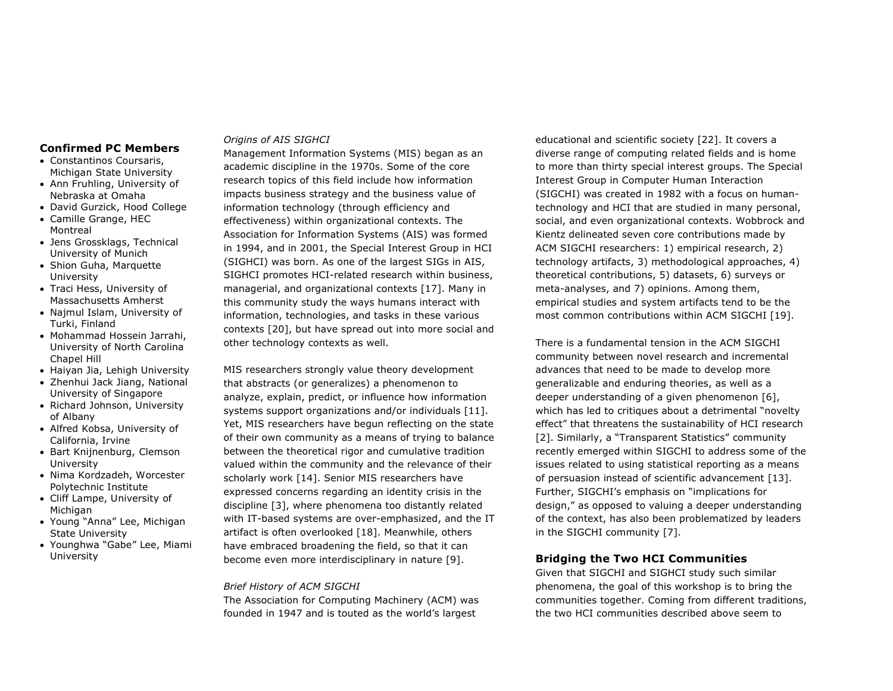#### **Confirmed PC Members**

- Constantinos Coursaris, Michigan State University
- Ann Fruhling, University of Nebraska at Omaha
- David Gurzick, Hood College
- Camille Grange, HEC Montreal
- Jens Grossklags, Technical University of Munich
- Shion Guha, Marquette University
- Traci Hess, University of Massachusetts Amherst
- Najmul Islam, University of Turki, Finland
- Mohammad Hossein Jarrahi, University of North Carolina Chapel Hill
- Haiyan Jia, Lehigh University
- Zhenhui Jack Jiang, National University of Singapore
- Richard Johnson, University of Albany
- Alfred Kobsa, University of California, Irvine
- Bart Knijnenburg, Clemson University
- Nima Kordzadeh, Worcester Polytechnic Institute
- Cliff Lampe, University of **Michigan**
- Young "Anna" Lee, Michigan State University
- Younghwa "Gabe" Lee, Miami University

### *Origins of AIS SIGHCI*

Management Information Systems (MIS) began as an academic discipline in the 1970s. Some of the core research topics of this field include how information impacts business strategy and the business value of information technology (through efficiency and effectiveness) within organizational contexts. The Association for Information Systems (AIS) was formed in 1994, and in 2001, the Special Interest Group in HCI (SIGHCI) was born. As one of the largest SIGs in AIS, SIGHCI promotes HCI-related research within business, managerial, and organizational contexts [17]. Many in this community study the ways humans interact with information, technologies, and tasks in these various contexts [20], but have spread out into more social and other technology contexts as well.

MIS researchers strongly value theory development that abstracts (or generalizes) a phenomenon to analyze, explain, predict, or influence how information systems support organizations and/or individuals [11]. Yet, MIS researchers have begun reflecting on the state of their own community as a means of trying to balance between the theoretical rigor and cumulative tradition valued within the community and the relevance of their scholarly work [14]. Senior MIS researchers have expressed concerns regarding an identity crisis in the discipline [3], where phenomena too distantly related with IT-based systems are over-emphasized, and the IT artifact is often overlooked [18]. Meanwhile, others have embraced broadening the field, so that it can become even more interdisciplinary in nature [9].

## *Brief History of ACM SIGCHI*

The Association for Computing Machinery (ACM) was founded in 1947 and is touted as the world's largest

educational and scientific society [22]. It covers a diverse range of computing related fields and is home to more than thirty special interest groups. The Special Interest Group in Computer Human Interaction (SIGCHI) was created in 1982 with a focus on humantechnology and HCI that are studied in many personal, social, and even organizational contexts. Wobbrock and Kientz delineated seven core contributions made by ACM SIGCHI researchers: 1) empirical research, 2) technology artifacts, 3) methodological approaches, 4) theoretical contributions, 5) datasets, 6) surveys or meta-analyses, and 7) opinions. Among them, empirical studies and system artifacts tend to be the most common contributions within ACM SIGCHI [19].

There is a fundamental tension in the ACM SIGCHI community between novel research and incremental advances that need to be made to develop more generalizable and enduring theories, as well as a deeper understanding of a given phenomenon [6], which has led to critiques about a detrimental "novelty effect" that threatens the sustainability of HCI research [2]. Similarly, a "Transparent Statistics" community recently emerged within SIGCHI to address some of the issues related to using statistical reporting as a means of persuasion instead of scientific advancement [13]. Further, SIGCHI's emphasis on "implications for design," as opposed to valuing a deeper understanding of the context, has also been problematized by leaders in the SIGCHI community [7].

# **Bridging the Two HCI Communities**

Given that SIGCHI and SIGHCI study such similar phenomena, the goal of this workshop is to bring the communities together. Coming from different traditions, the two HCI communities described above seem to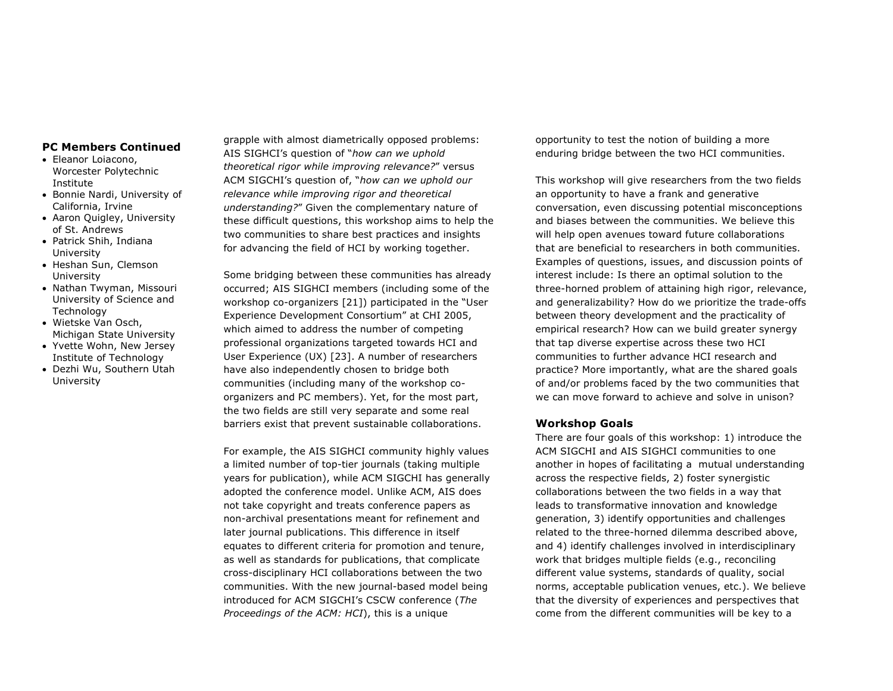## **PC Members Continued**

- Eleanor Loiacono, Worcester Polytechnic Institute
- Bonnie Nardi, University of California, Irvine
- Aaron Quigley, University of St. Andrews
- Patrick Shih, Indiana University
- Heshan Sun, Clemson University
- Nathan Twyman, Missouri University of Science and **Technology**
- Wietske Van Osch, Michigan State University
- Yvette Wohn, New Jersey Institute of Technology
- Dezhi Wu, Southern Utah University

grapple with almost diametrically opposed problems: AIS SIGHCI's question of "*how can we uphold theoretical rigor while improving relevance?*" versus ACM SIGCHI's question of, "*how can we uphold our relevance while improving rigor and theoretical understanding?*" Given the complementary nature of these difficult questions, this workshop aims to help the two communities to share best practices and insights for advancing the field of HCI by working together.

Some bridging between these communities has already occurred; AIS SIGHCI members (including some of the workshop co-organizers [21]) participated in the "User Experience Development Consortium" at CHI 2005, which aimed to address the number of competing professional organizations targeted towards HCI and User Experience (UX) [23]. A number of researchers have also independently chosen to bridge both communities (including many of the workshop coorganizers and PC members). Yet, for the most part, the two fields are still very separate and some real barriers exist that prevent sustainable collaborations.

For example, the AIS SIGHCI community highly values a limited number of top-tier journals (taking multiple years for publication), while ACM SIGCHI has generally adopted the conference model. Unlike ACM, AIS does not take copyright and treats conference papers as non-archival presentations meant for refinement and later journal publications. This difference in itself equates to different criteria for promotion and tenure, as well as standards for publications, that complicate cross-disciplinary HCI collaborations between the two communities. With the new journal-based model being introduced for ACM SIGCHI's CSCW conference (*The Proceedings of the ACM: HCI*), this is a unique

opportunity to test the notion of building a more enduring bridge between the two HCI communities.

This workshop will give researchers from the two fields an opportunity to have a frank and generative conversation, even discussing potential misconceptions and biases between the communities. We believe this will help open avenues toward future collaborations that are beneficial to researchers in both communities. Examples of questions, issues, and discussion points of interest include: Is there an optimal solution to the three-horned problem of attaining high rigor, relevance, and generalizability? How do we prioritize the trade-offs between theory development and the practicality of empirical research? How can we build greater synergy that tap diverse expertise across these two HCI communities to further advance HCI research and practice? More importantly, what are the shared goals of and/or problems faced by the two communities that we can move forward to achieve and solve in unison?

#### **Workshop Goals**

There are four goals of this workshop: 1) introduce the ACM SIGCHI and AIS SIGHCI communities to one another in hopes of facilitating a mutual understanding across the respective fields, 2) foster synergistic collaborations between the two fields in a way that leads to transformative innovation and knowledge generation, 3) identify opportunities and challenges related to the three-horned dilemma described above, and 4) identify challenges involved in interdisciplinary work that bridges multiple fields (e.g., reconciling different value systems, standards of quality, social norms, acceptable publication venues, etc.). We believe that the diversity of experiences and perspectives that come from the different communities will be key to a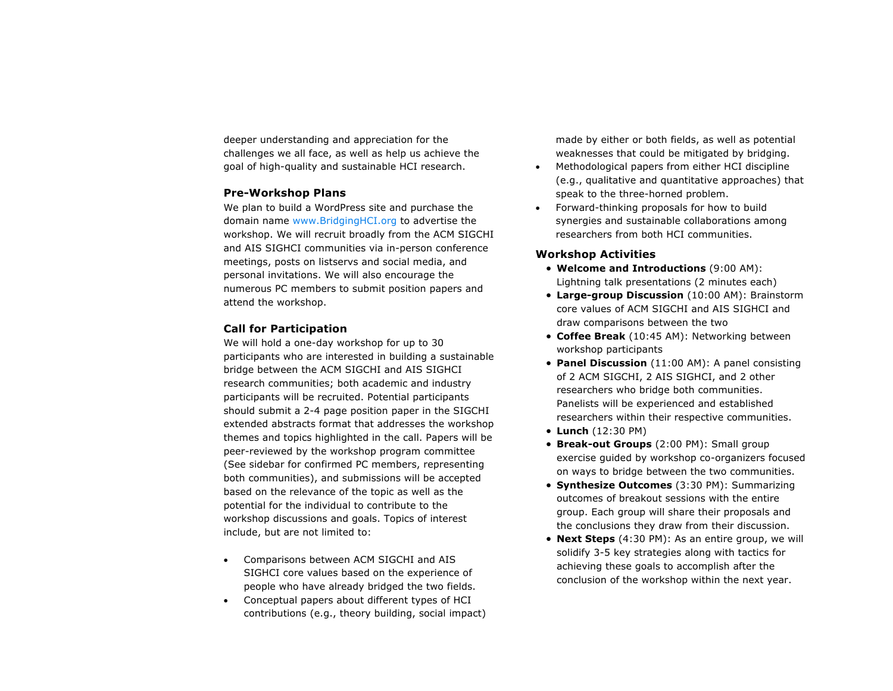deeper understanding and appreciation for the challenges we all face, as well as help us achieve the goal of high-quality and sustainable HCI research.

#### **Pre-Workshop Plans**

We plan to build a WordPress site and purchase the domain name www.BridgingHCI.org to advertise the workshop. We will recruit broadly from the ACM SIGCHI and AIS SIGHCI communities via in-person conference meetings, posts on listservs and social media, and personal invitations. We will also encourage the numerous PC members to submit position papers and attend the workshop.

## **Call for Participation**

We will hold a one-day workshop for up to 30 participants who are interested in building a sustainable bridge between the ACM SIGCHI and AIS SIGHCI research communities; both academic and industry participants will be recruited. Potential participants should submit a 2-4 page position paper in the SIGCHI extended abstracts format that addresses the workshop themes and topics highlighted in the call. Papers will be peer-reviewed by the workshop program committee (See sidebar for confirmed PC members, representing both communities), and submissions will be accepted based on the relevance of the topic as well as the potential for the individual to contribute to the workshop discussions and goals. Topics of interest include, but are not limited to:

- Comparisons between ACM SIGCHI and AIS SIGHCI core values based on the experience of people who have already bridged the two fields.
- Conceptual papers about different types of HCI contributions (e.g., theory building, social impact)

made by either or both fields, as well as potential weaknesses that could be mitigated by bridging.

- Methodological papers from either HCI discipline (e.g., qualitative and quantitative approaches) that speak to the three-horned problem.
- Forward-thinking proposals for how to build synergies and sustainable collaborations among researchers from both HCI communities.

# **Workshop Activities**

- **Welcome and Introductions** (9:00 AM): Lightning talk presentations (2 minutes each)
- **Large-group Discussion** (10:00 AM): Brainstorm core values of ACM SIGCHI and AIS SIGHCI and draw comparisons between the two
- **Coffee Break** (10:45 AM): Networking between workshop participants
- **Panel Discussion** (11:00 AM): A panel consisting of 2 ACM SIGCHI, 2 AIS SIGHCI, and 2 other researchers who bridge both communities. Panelists will be experienced and established researchers within their respective communities.
- **Lunch** (12:30 PM)
- **Break-out Groups** (2:00 PM): Small group exercise guided by workshop co-organizers focused on ways to bridge between the two communities.
- **Synthesize Outcomes** (3:30 PM): Summarizing outcomes of breakout sessions with the entire group. Each group will share their proposals and the conclusions they draw from their discussion.
- **Next Steps** (4:30 PM): As an entire group, we will solidify 3-5 key strategies along with tactics for achieving these goals to accomplish after the conclusion of the workshop within the next year.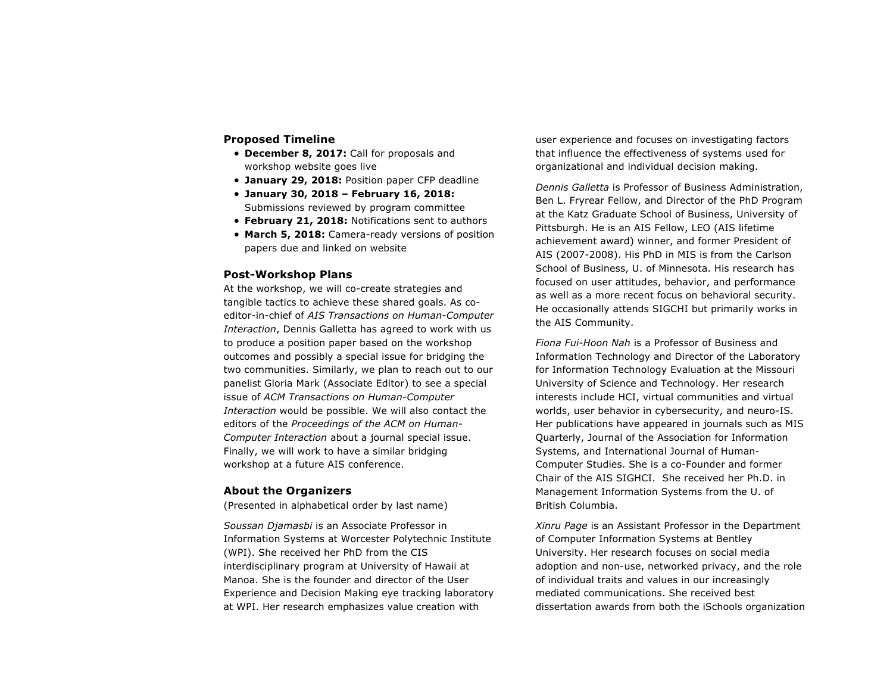## **Proposed Timeline**

- **December 8, 2017:** Call for proposals and workshop website goes live
- **January 29, 2018:** Position paper CFP deadline
- **January 30, 2018 – February 16, 2018:** Submissions reviewed by program committee
- **February 21, 2018:** Notifications sent to authors
- **March 5, 2018:** Camera-ready versions of position papers due and linked on website

#### **Post-Workshop Plans**

At the workshop, we will co-create strategies and tangible tactics to achieve these shared goals. As coeditor-in-chief of *AIS Transactions on Human-Computer Interaction*, Dennis Galletta has agreed to work with us to produce a position paper based on the workshop outcomes and possibly a special issue for bridging the two communities. Similarly, we plan to reach out to our panelist Gloria Mark (Associate Editor) to see a special issue of *ACM Transactions on Human-Computer Interaction* would be possible. We will also contact the editors of the *Proceedings of the ACM on Human-Computer Interaction* about a journal special issue. Finally, we will work to have a similar bridging workshop at a future AIS conference.

#### **About the Organizers**

(Presented in alphabetical order by last name)

*Soussan Djamasbi* is an Associate Professor in Information Systems at Worcester Polytechnic Institute (WPI). She received her PhD from the CIS interdisciplinary program at University of Hawaii at Manoa. She is the founder and director of the User Experience and Decision Making eye tracking laboratory at WPI. Her research emphasizes value creation with

user experience and focuses on investigating factors that influence the effectiveness of systems used for organizational and individual decision making.

*Dennis Galletta* is Professor of Business Administration, Ben L. Fryrear Fellow, and Director of the PhD Program at the Katz Graduate School of Business, University of Pittsburgh. He is an AIS Fellow, LEO (AIS lifetime achievement award) winner, and former President of AIS (2007-2008). His PhD in MIS is from the Carlson School of Business, U. of Minnesota. His research has focused on user attitudes, behavior, and performance as well as a more recent focus on behavioral security. He occasionally attends SIGCHI but primarily works in the AIS Community.

*Fiona Fui-Hoon Nah* is a Professor of Business and Information Technology and Director of the Laboratory for Information Technology Evaluation at the Missouri University of Science and Technology. Her research interests include HCI, virtual communities and virtual worlds, user behavior in cybersecurity, and neuro-IS. Her publications have appeared in journals such as MIS Quarterly, Journal of the Association for Information Systems, and International Journal of Human-Computer Studies. She is a co-Founder and former Chair of the AIS SIGHCI. She received her Ph.D. in Management Information Systems from the U. of British Columbia.

*Xinru Page* is an Assistant Professor in the Department of Computer Information Systems at Bentley University. Her research focuses on social media adoption and non-use, networked privacy, and the role of individual traits and values in our increasingly mediated communications. She received best dissertation awards from both the iSchools organization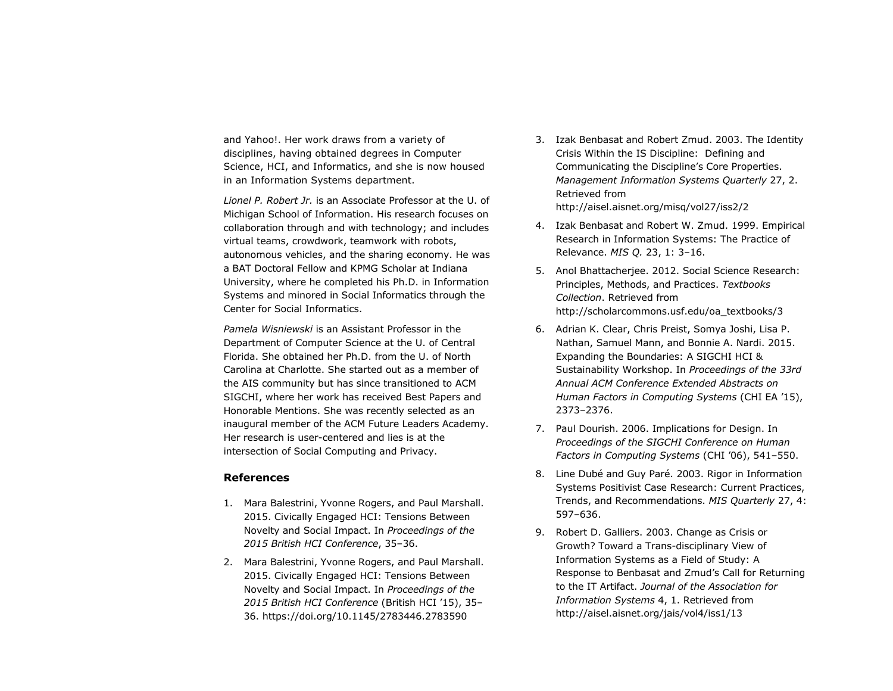and Yahoo!. Her work draws from a variety of disciplines, having obtained degrees in Computer Science, HCI, and Informatics, and she is now housed in an Information Systems department.

*Lionel P. Robert Jr.* is an Associate Professor at the U. of Michigan School of Information. His research focuses on collaboration through and with technology; and includes virtual teams, crowdwork, teamwork with robots, autonomous vehicles, and the sharing economy. He was a BAT Doctoral Fellow and KPMG Scholar at Indiana University, where he completed his Ph.D. in Information Systems and minored in Social Informatics through the Center for Social Informatics.

*Pamela Wisniewski* is an Assistant Professor in the Department of Computer Science at the U. of Central Florida. She obtained her Ph.D. from the U. of North Carolina at Charlotte. She started out as a member of the AIS community but has since transitioned to ACM SIGCHI, where her work has received Best Papers and Honorable Mentions. She was recently selected as an inaugural member of the ACM Future Leaders Academy. Her research is user-centered and lies is at the intersection of Social Computing and Privacy.

#### **References**

- 1. Mara Balestrini, Yvonne Rogers, and Paul Marshall. 2015. Civically Engaged HCI: Tensions Between Novelty and Social Impact. In *Proceedings of the 2015 British HCI Conference*, 35–36.
- 2. Mara Balestrini, Yvonne Rogers, and Paul Marshall. 2015. Civically Engaged HCI: Tensions Between Novelty and Social Impact. In *Proceedings of the 2015 British HCI Conference* (British HCI '15), 35– 36. https://doi.org/10.1145/2783446.2783590
- 3. Izak Benbasat and Robert Zmud. 2003. The Identity Crisis Within the IS Discipline: Defining and Communicating the Discipline's Core Properties. *Management Information Systems Quarterly* 27, 2. Retrieved from http://aisel.aisnet.org/misq/vol27/iss2/2
- 4. Izak Benbasat and Robert W. Zmud. 1999. Empirical Research in Information Systems: The Practice of Relevance. *MIS Q.* 23, 1: 3–16.
- 5. Anol Bhattacherjee. 2012. Social Science Research: Principles, Methods, and Practices. *Textbooks Collection*. Retrieved from http://scholarcommons.usf.edu/oa\_textbooks/3
- 6. Adrian K. Clear, Chris Preist, Somya Joshi, Lisa P. Nathan, Samuel Mann, and Bonnie A. Nardi. 2015. Expanding the Boundaries: A SIGCHI HCI & Sustainability Workshop. In *Proceedings of the 33rd Annual ACM Conference Extended Abstracts on Human Factors in Computing Systems* (CHI EA '15), 2373–2376.
- 7. Paul Dourish. 2006. Implications for Design. In *Proceedings of the SIGCHI Conference on Human Factors in Computing Systems* (CHI '06), 541–550.
- 8. Line Dubé and Guy Paré. 2003. Rigor in Information Systems Positivist Case Research: Current Practices, Trends, and Recommendations. *MIS Quarterly* 27, 4: 597–636.
- 9. Robert D. Galliers. 2003. Change as Crisis or Growth? Toward a Trans-disciplinary View of Information Systems as a Field of Study: A Response to Benbasat and Zmud's Call for Returning to the IT Artifact. *Journal of the Association for Information Systems* 4, 1. Retrieved from http://aisel.aisnet.org/jais/vol4/iss1/13